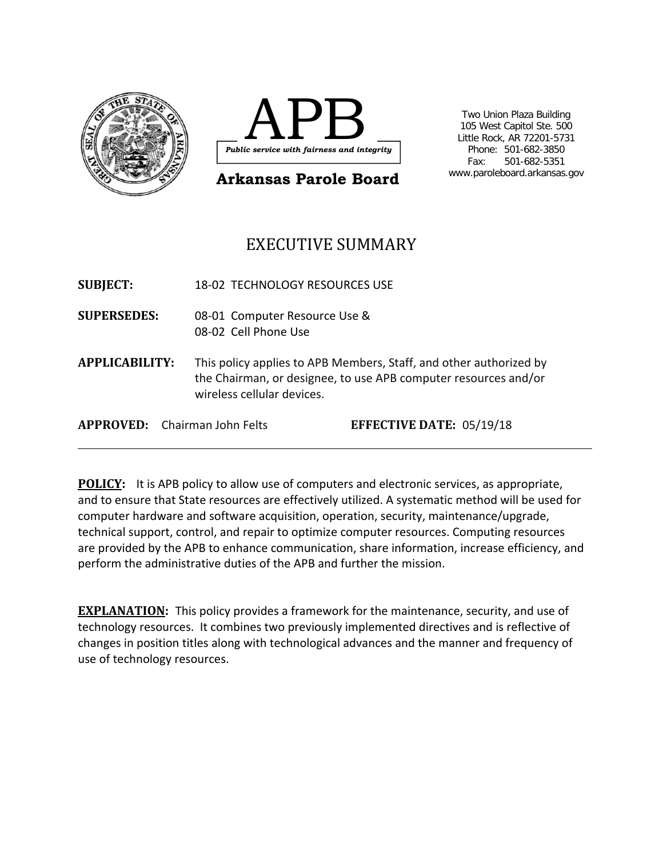



**Arkansas Parole Board**

 Two Union Plaza Building 105 West Capitol Ste. 500 Little Rock, AR 72201-5731 Phone: 501-682-3850 Fax: 501-682-5351 www.paroleboard.arkansas.gov

# EXECUTIVE SUMMARY

**SUBJECT:** 18‐02 TECHNOLOGY RESOURCES USE **SUPERSEDES:** 08‐01 Computer Resource Use & 08‐02 Cell Phone Use **APPLICABILITY:**  This policy applies to APB Members, Staff, and other authorized by the Chairman, or designee, to use APB computer resources and/or wireless cellular devices. **APPROVED:** Chairman John Felts **EFFECTIVE DATE:** 05/19/18

**POLICY:** It is APB policy to allow use of computers and electronic services, as appropriate, and to ensure that State resources are effectively utilized. A systematic method will be used for computer hardware and software acquisition, operation, security, maintenance/upgrade, technical support, control, and repair to optimize computer resources. Computing resources are provided by the APB to enhance communication, share information, increase efficiency, and perform the administrative duties of the APB and further the mission.

**EXPLANATION:** This policy provides a framework for the maintenance, security, and use of technology resources. It combines two previously implemented directives and is reflective of changes in position titles along with technological advances and the manner and frequency of use of technology resources.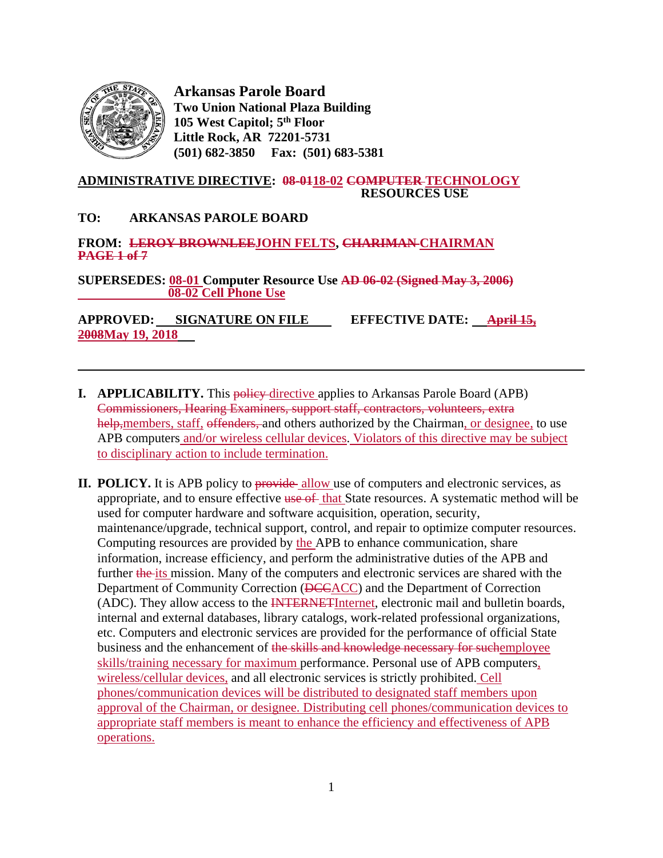

l

**Arkansas Parole Board Two Union National Plaza Building 105 West Capitol; 5th Floor Little Rock, AR 72201-5731 (501) 682-3850 Fax: (501) 683-5381** 

#### **ADMINISTRATIVE DIRECTIVE: 08-0118-02 COMPUTER TECHNOLOGY RESOURCES USE**

#### **TO: ARKANSAS PAROLE BOARD**

# **FROM: LEROY BROWNLEEJOHN FELTS, CHARIMAN CHAIRMAN PAGE 1 of 7**

**SUPERSEDES: 08-01 Computer Resource Use AD 06-02 (Signed May 3, 2006) 08-02 Cell Phone Use**

**APPROVED: SIGNATURE ON FILE EFFECTIVE DATE: April 15, 2008May 19, 2018**

- **I.** APPLICABILITY. This policy directive applies to Arkansas Parole Board (APB) Commissioners, Hearing Examiners, support staff, contractors, volunteers, extra help, members, staff, offenders, and others authorized by the Chairman, or designee, to use APB computers and/or wireless cellular devices. Violators of this directive may be subject to disciplinary action to include termination.
- **II. POLICY.** It is APB policy to provide allow use of computers and electronic services, as appropriate, and to ensure effective use of that State resources. A systematic method will be used for computer hardware and software acquisition, operation, security, maintenance/upgrade, technical support, control, and repair to optimize computer resources. Computing resources are provided by the APB to enhance communication, share information, increase efficiency, and perform the administrative duties of the APB and further the its mission. Many of the computers and electronic services are shared with the Department of Community Correction (DCCACC) and the Department of Correction (ADC). They allow access to the INTERNETInternet, electronic mail and bulletin boards, internal and external databases, library catalogs, work-related professional organizations, etc. Computers and electronic services are provided for the performance of official State business and the enhancement of the skills and knowledge necessary for suchemployee skills/training necessary for maximum performance. Personal use of APB computers, wireless/cellular devices, and all electronic services is strictly prohibited. Cell phones/communication devices will be distributed to designated staff members upon approval of the Chairman, or designee. Distributing cell phones/communication devices to appropriate staff members is meant to enhance the efficiency and effectiveness of APB operations.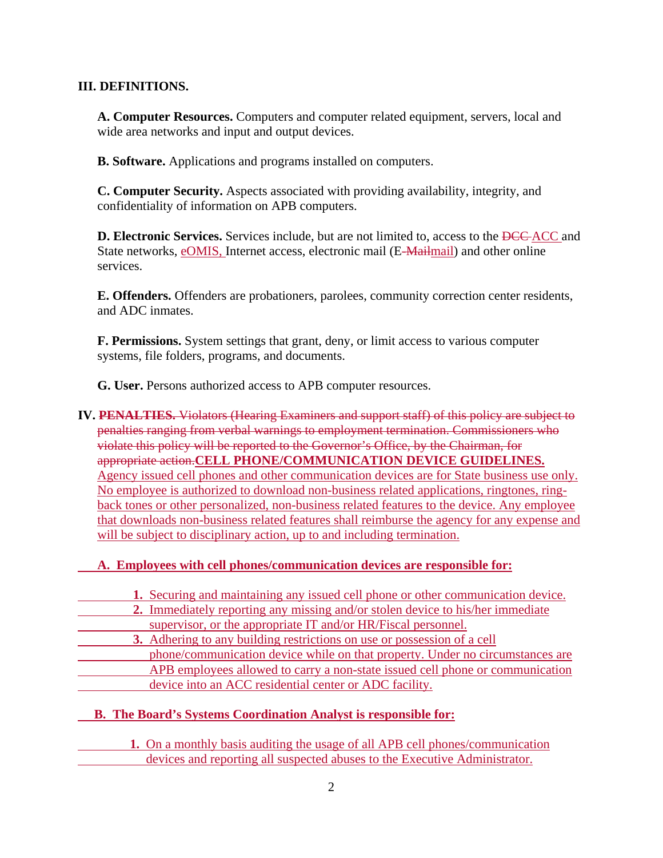## **III. DEFINITIONS.**

**A. Computer Resources.** Computers and computer related equipment, servers, local and wide area networks and input and output devices.

**B. Software.** Applications and programs installed on computers.

**C. Computer Security.** Aspects associated with providing availability, integrity, and confidentiality of information on APB computers.

**D. Electronic Services.** Services include, but are not limited to, access to the <del>DCC</del>-ACC and State networks, eOMIS, Internet access, electronic mail (E-Mailmail) and other online services.

**E. Offenders.** Offenders are probationers, parolees, community correction center residents, and ADC inmates.

**F. Permissions.** System settings that grant, deny, or limit access to various computer systems, file folders, programs, and documents.

**G. User.** Persons authorized access to APB computer resources.

#### **IV. PENALTIES.** Violators (Hearing Examiners and support staff) of this policy are subject to penalties ranging from verbal warnings to employment termination. Commissioners who violate this policy will be reported to the Governor's Office, by the Chairman, for appropriate action.**CELL PHONE/COMMUNICATION DEVICE GUIDELINES.**  Agency issued cell phones and other communication devices are for State business use only. No employee is authorized to download non-business related applications, ringtones, ringback tones or other personalized, non-business related features to the device. Any employee that downloads non-business related features shall reimburse the agency for any expense and will be subject to disciplinary action, up to and including termination.

#### **A. Employees with cell phones/communication devices are responsible for:**

**1.** Securing and maintaining any issued cell phone or other communication device.

- **2.** Immediately reporting any missing and/or stolen device to his/her immediate supervisor, or the appropriate IT and/or HR/Fiscal personnel.
- **3.** Adhering to any building restrictions on use or possession of a cell phone/communication device while on that property. Under no circumstances are APB employees allowed to carry a non-state issued cell phone or communication device into an ACC residential center or ADC facility.

### **B. The Board's Systems Coordination Analyst is responsible for:**

 **1.** On a monthly basis auditing the usage of all APB cell phones/communication devices and reporting all suspected abuses to the Executive Administrator.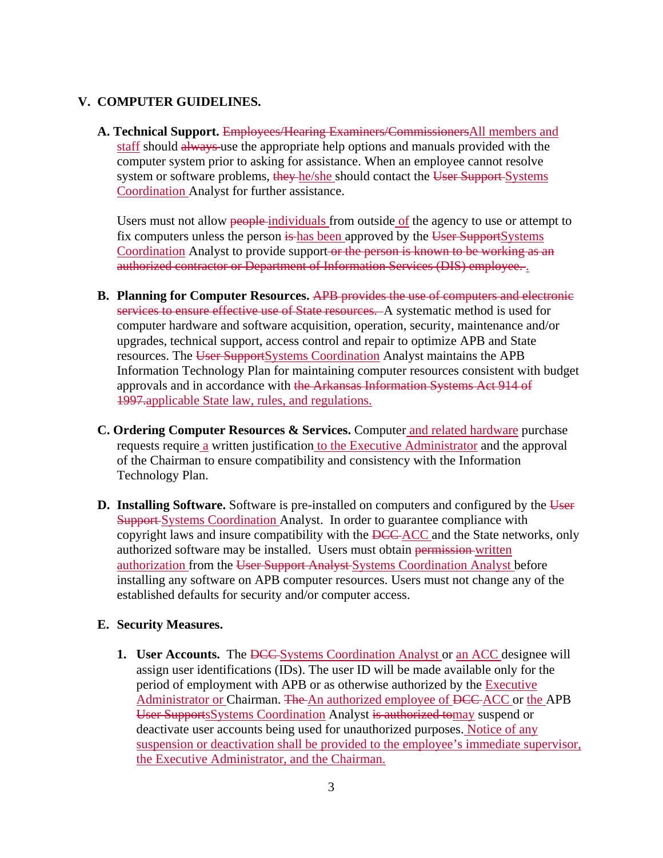#### **V. COMPUTER GUIDELINES.**

 **A. Technical Support.** Employees/Hearing Examiners/CommissionersAll members and staff should always use the appropriate help options and manuals provided with the computer system prior to asking for assistance. When an employee cannot resolve system or software problems, they-he/she should contact the User Support-Systems Coordination Analyst for further assistance.

Users must not allow people-individuals from outside of the agency to use or attempt to fix computers unless the person is has been approved by the User SupportSystems Coordination Analyst to provide support-or the person is known to be working as an authorized contractor or Department of Information Services (DIS) employee. .

- **B. Planning for Computer Resources.** APB provides the use of computers and electronic services to ensure effective use of State resources. A systematic method is used for computer hardware and software acquisition, operation, security, maintenance and/or upgrades, technical support, access control and repair to optimize APB and State resources. The User SupportSystems Coordination Analyst maintains the APB Information Technology Plan for maintaining computer resources consistent with budget approvals and in accordance with the Arkansas Information Systems Act 914 of 1997.applicable State law, rules, and regulations.
- **C. Ordering Computer Resources & Services.** Computer and related hardware purchase requests require a written justification to the Executive Administrator and the approval of the Chairman to ensure compatibility and consistency with the Information Technology Plan.
- **D. Installing Software.** Software is pre-installed on computers and configured by the User **Support** Systems Coordination Analyst. In order to guarantee compliance with copyright laws and insure compatibility with the **DCC** ACC and the State networks, only authorized software may be installed. Users must obtain permission-written authorization from the User Support Analyst Systems Coordination Analyst before installing any software on APB computer resources. Users must not change any of the established defaults for security and/or computer access.

#### **E. Security Measures.**

**1. User Accounts.** The <del>DCC</del> Systems Coordination Analyst or an ACC designee will assign user identifications (IDs). The user ID will be made available only for the period of employment with APB or as otherwise authorized by the **Executive** Administrator or Chairman. The An authorized employee of DCC ACC or the APB User SupportsSystems Coordination Analyst is authorized tomay suspend or deactivate user accounts being used for unauthorized purposes. Notice of any suspension or deactivation shall be provided to the employee's immediate supervisor, the Executive Administrator, and the Chairman.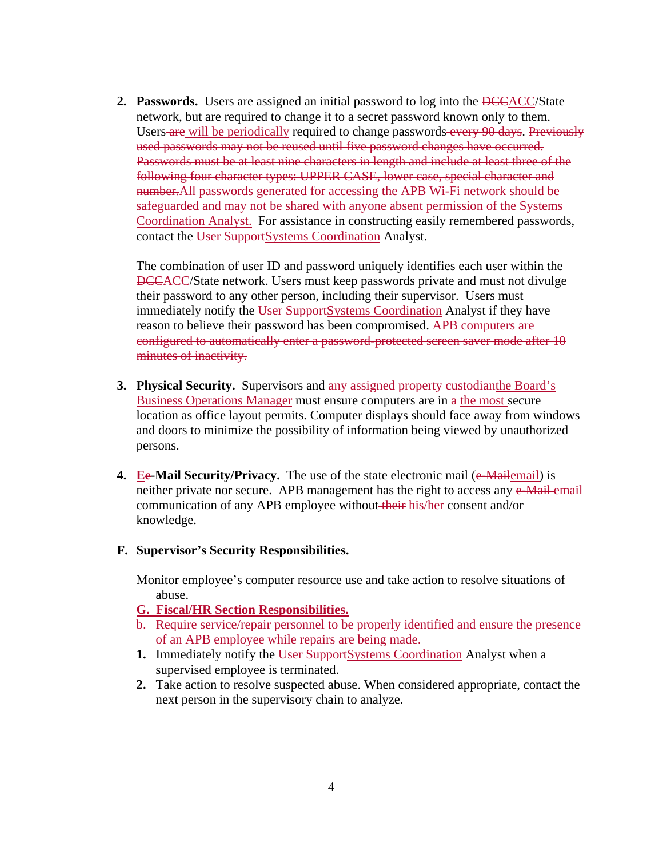**2. Passwords.** Users are assigned an initial password to log into the **DCCACC**/State network, but are required to change it to a secret password known only to them. Users are will be periodically required to change passwords every 90 days. Previously used passwords may not be reused until five password changes have occurred. Passwords must be at least nine characters in length and include at least three of the following four character types: UPPER CASE, lower case, special character and number.All passwords generated for accessing the APB Wi-Fi network should be safeguarded and may not be shared with anyone absent permission of the Systems Coordination Analyst. For assistance in constructing easily remembered passwords, contact the User SupportSystems Coordination Analyst.

 The combination of user ID and password uniquely identifies each user within the DCCACC/State network. Users must keep passwords private and must not divulge their password to any other person, including their supervisor. Users must immediately notify the User SupportSystems Coordination Analyst if they have reason to believe their password has been compromised. APB computers are configured to automatically enter a password-protected screen saver mode after 10 minutes of inactivity.

- **3. Physical Security.** Supervisors and any assigned property custodianthe Board's Business Operations Manager must ensure computers are in  $\alpha$ -the most secure location as office layout permits. Computer displays should face away from windows and doors to minimize the possibility of information being viewed by unauthorized persons.
- **4. Ee-Mail Security/Privacy.** The use of the state electronic mail (e-Mailemail) is neither private nor secure. APB management has the right to access any e-Mail-email communication of any APB employee without their his/her consent and/or knowledge.
- **F. Supervisor's Security Responsibilities.**

Monitor employee's computer resource use and take action to resolve situations of abuse.

- **G. Fiscal/HR Section Responsibilities.**
- b. Require service/repair personnel to be properly identified and ensure the presence of an APB employee while repairs are being made.
- **1.** Immediately notify the User SupportSystems Coordination Analyst when a supervised employee is terminated.
- **2.** Take action to resolve suspected abuse. When considered appropriate, contact the next person in the supervisory chain to analyze.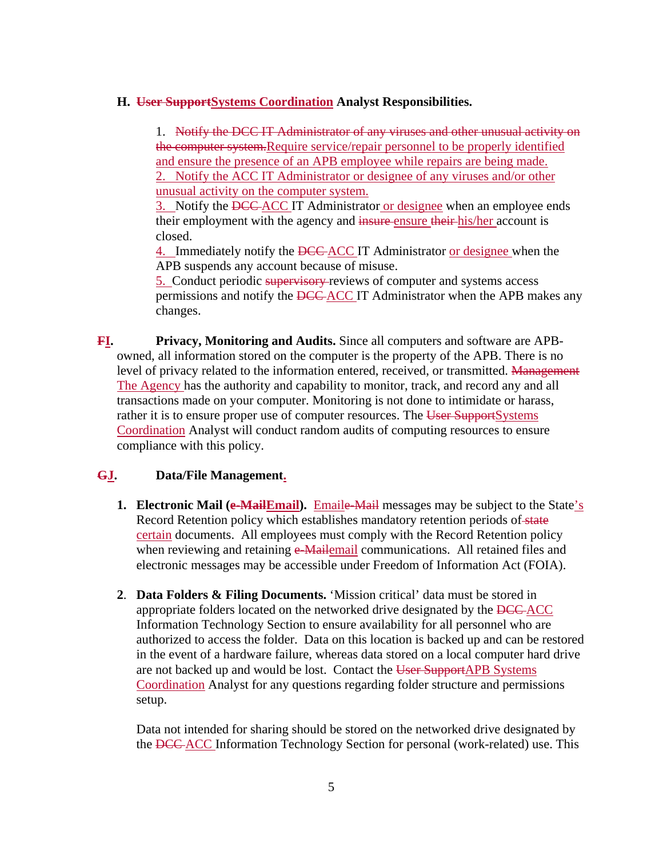#### **H. User SupportSystems Coordination Analyst Responsibilities.**

1. Notify the DCC IT Administrator of any viruses and other unusual activity on the computer system.Require service/repair personnel to be properly identified and ensure the presence of an APB employee while repairs are being made. 2. Notify the ACC IT Administrator or designee of any viruses and/or other unusual activity on the computer system.

3. Notify the DCC-ACC IT Administrator or designee when an employee ends their employment with the agency and insure ensure their his/her account is closed.

4. Immediately notify the DCC ACC IT Administrator or designee when the APB suspends any account because of misuse.

5. Conduct periodic supervisory reviews of computer and systems access permissions and notify the DCC ACC IT Administrator when the APB makes any changes.

**FI. Privacy, Monitoring and Audits.** Since all computers and software are APBowned, all information stored on the computer is the property of the APB. There is no level of privacy related to the information entered, received, or transmitted. Management The Agency has the authority and capability to monitor, track, and record any and all transactions made on your computer. Monitoring is not done to intimidate or harass, rather it is to ensure proper use of computer resources. The User SupportSystems Coordination Analyst will conduct random audits of computing resources to ensure compliance with this policy.

#### **GJ. Data/File Management.**

- **1. Electronic Mail (e-MailEmail).** Emaile-Mail messages may be subject to the State's Record Retention policy which establishes mandatory retention periods of state certain documents. All employees must comply with the Record Retention policy when reviewing and retaining  $e$ -Mailemail communications. All retained files and electronic messages may be accessible under Freedom of Information Act (FOIA).
- **2**. **Data Folders & Filing Documents.** 'Mission critical' data must be stored in appropriate folders located on the networked drive designated by the DCC-ACC Information Technology Section to ensure availability for all personnel who are authorized to access the folder. Data on this location is backed up and can be restored in the event of a hardware failure, whereas data stored on a local computer hard drive are not backed up and would be lost. Contact the User SupportAPB Systems Coordination Analyst for any questions regarding folder structure and permissions setup.

 Data not intended for sharing should be stored on the networked drive designated by the DCC ACC Information Technology Section for personal (work-related) use. This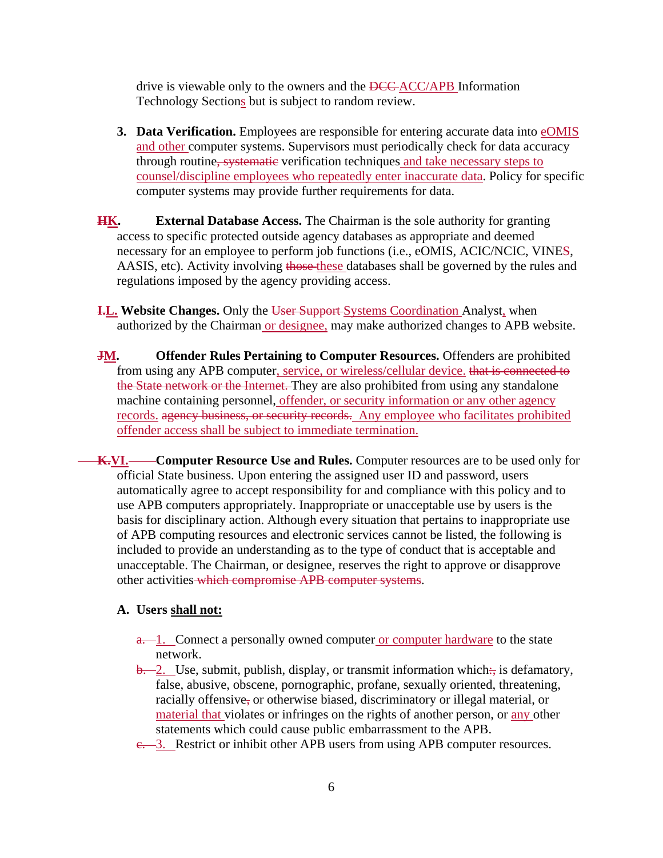drive is viewable only to the owners and the **DCC**-ACC/APB Information Technology Sections but is subject to random review.

- **3. Data Verification.** Employees are responsible for entering accurate data into eOMIS and other computer systems. Supervisors must periodically check for data accuracy through routine, systematic verification techniques and take necessary steps to counsel/discipline employees who repeatedly enter inaccurate data. Policy for specific computer systems may provide further requirements for data.
- **HK. External Database Access.** The Chairman is the sole authority for granting access to specific protected outside agency databases as appropriate and deemed necessary for an employee to perform job functions (i.e., eOMIS, ACIC/NCIC, VINES, AASIS, etc). Activity involving those these databases shall be governed by the rules and regulations imposed by the agency providing access.
- **I.L. Website Changes.** Only the User Support Systems Coordination Analyst, when authorized by the Chairman or designee, may make authorized changes to APB website.
- **JM.** Offender Rules Pertaining to Computer Resources. Offenders are prohibited from using any APB computer, service, or wireless/cellular device. that is connected to the State network or the Internet. They are also prohibited from using any standalone machine containing personnel, offender, or security information or any other agency records. agency business, or security records. Any employee who facilitates prohibited offender access shall be subject to immediate termination.
- **K.VI.** Computer Resource Use and Rules. Computer resources are to be used only for official State business. Upon entering the assigned user ID and password, users automatically agree to accept responsibility for and compliance with this policy and to use APB computers appropriately. Inappropriate or unacceptable use by users is the basis for disciplinary action. Although every situation that pertains to inappropriate use of APB computing resources and electronic services cannot be listed, the following is included to provide an understanding as to the type of conduct that is acceptable and unacceptable. The Chairman, or designee, reserves the right to approve or disapprove other activities which compromise APB computer systems.

#### **A. Users shall not:**

- a. 1. Connect a personally owned computer or computer hardware to the state network.
- $\frac{b}{b}$ . Use, submit, publish, display, or transmit information which: is defamatory, false, abusive, obscene, pornographic, profane, sexually oriented, threatening, racially offensive, or otherwise biased, discriminatory or illegal material, or material that violates or infringes on the rights of another person, or any other statements which could cause public embarrassment to the APB.
- e. 3. Restrict or inhibit other APB users from using APB computer resources.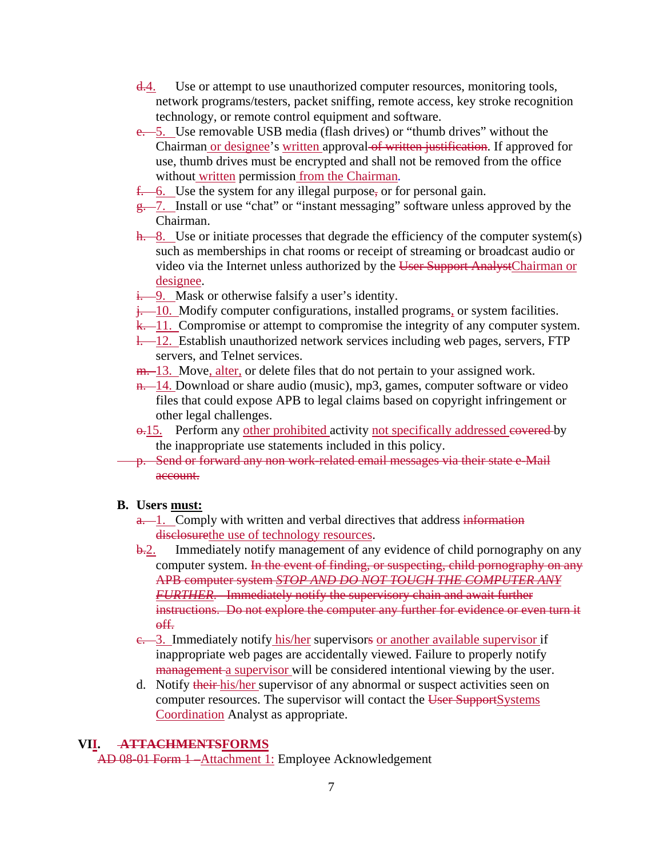- $\frac{d.4}{d}$ . Use or attempt to use unauthorized computer resources, monitoring tools, network programs/testers, packet sniffing, remote access, key stroke recognition technology, or remote control equipment and software.
- e. 5. Use removable USB media (flash drives) or "thumb drives" without the Chairman or designee's written approval of written justification. If approved for use, thumb drives must be encrypted and shall not be removed from the office without written permission from the Chairman*.*
- $f 6$ . Use the system for any illegal purpose, or for personal gain.
- $g 7$ . Install or use "chat" or "instant messaging" software unless approved by the Chairman.
- $h 8$ . Use or initiate processes that degrade the efficiency of the computer system(s) such as memberships in chat rooms or receipt of streaming or broadcast audio or video via the Internet unless authorized by the User Support AnalystChairman or designee.
- $\frac{1}{1}$ . Mask or otherwise falsify a user's identity.
- $\frac{1}{2}$  10. Modify computer configurations, installed programs, or system facilities.
- $k 11$ . Compromise or attempt to compromise the integrity of any computer system.
- l. 12. Establish unauthorized network services including web pages, servers, FTP servers, and Telnet services.
- m. 13. Move, alter, or delete files that do not pertain to your assigned work.
- $n.$  14. Download or share audio (music), mp3, games, computer software or video files that could expose APB to legal claims based on copyright infringement or other legal challenges.
- $\theta$ .15. Perform any other prohibited activity not specifically addressed espected by the inappropriate use statements included in this policy.
- p. Send or forward any non work-related email messages via their state e-Mail account.

#### **B. Users must:**

- $a 1$ . Comply with written and verbal directives that address information disclosurethe use of technology resources.
- b.2. Immediately notify management of any evidence of child pornography on any computer system. In the event of finding, or suspecting, child pornography on any APB computer system *STOP AND DO NOT TOUCH THE COMPUTER ANY FURTHER*. Immediately notify the supervisory chain and await further instructions. Do not explore the computer any further for evidence or even turn it off.
- e. 3. Immediately notify his/her supervisors or another available supervisor if inappropriate web pages are accidentally viewed. Failure to properly notify management a supervisor will be considered intentional viewing by the user.
- d. Notify their his/her supervisor of any abnormal or suspect activities seen on computer resources. The supervisor will contact the User SupportSystems Coordination Analyst as appropriate.

#### **VII. ATTACHMENTSFORMS**

AD 08-01 Form 1 – Attachment 1: Employee Acknowledgement